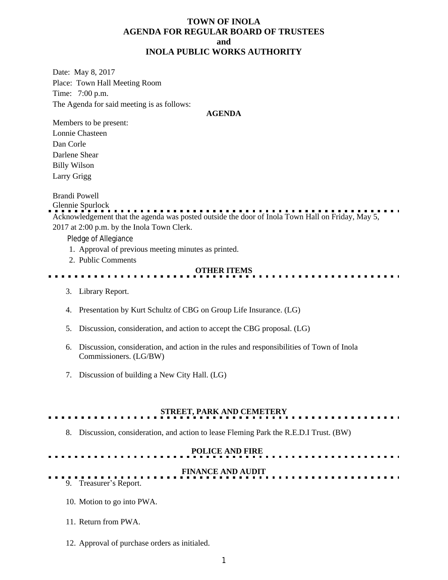## **TOWN OF INOLA AGENDA FOR REGULAR BOARD OF TRUSTEES and INOLA PUBLIC WORKS AUTHORITY**

Date: May 8, 2017 Place: Town Hall Meeting Room Time: 7:00 p.m. The Agenda for said meeting is as follows:

#### **AGENDA**

Members to be present: Lonnie Chasteen Dan Corle Darlene Shear Billy Wilson Larry Grigg

Brandi Powell

Glennie Spurlock Acknowledgement that the agenda was posted outside the door of Inola Town Hall on Friday, May 5,

2017 at 2:00 p.m. by the Inola Town Clerk.

Pledge of Allegiance

- 1. Approval of previous meeting minutes as printed.
- 2. Public Comments

#### **OTHER ITEMS**

- 3. Library Report.
- 4. Presentation by Kurt Schultz of CBG on Group Life Insurance. (LG)
- 5. Discussion, consideration, and action to accept the CBG proposal. (LG)
- 6. Discussion, consideration, and action in the rules and responsibilities of Town of Inola Commissioners. (LG/BW)
- 7. Discussion of building a New City Hall. (LG)

# **STREET, PARK AND CEMETERY**

8. Discussion, consideration, and action to lease Fleming Park the R.E.D.I Trust. (BW)

#### **POLICE AND FIRE**

# **FINANCE AND AUDIT**

#### 9. Treasurer's Report.

- 10. Motion to go into PWA.
- 11. Return from PWA.
- 12. Approval of purchase orders as initialed.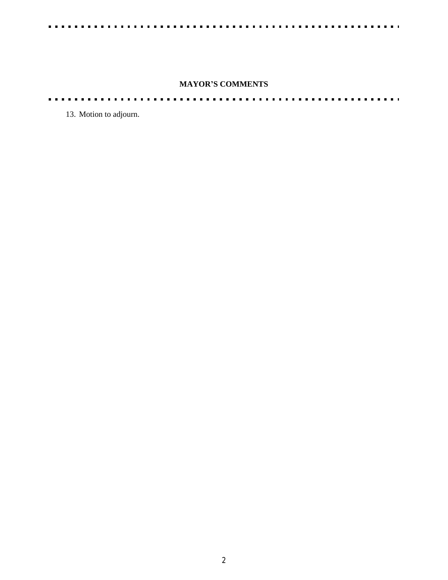$\blacksquare$ 

# **MAYOR'S COMMENTS**

٥. . . .

13. Motion to adjourn.